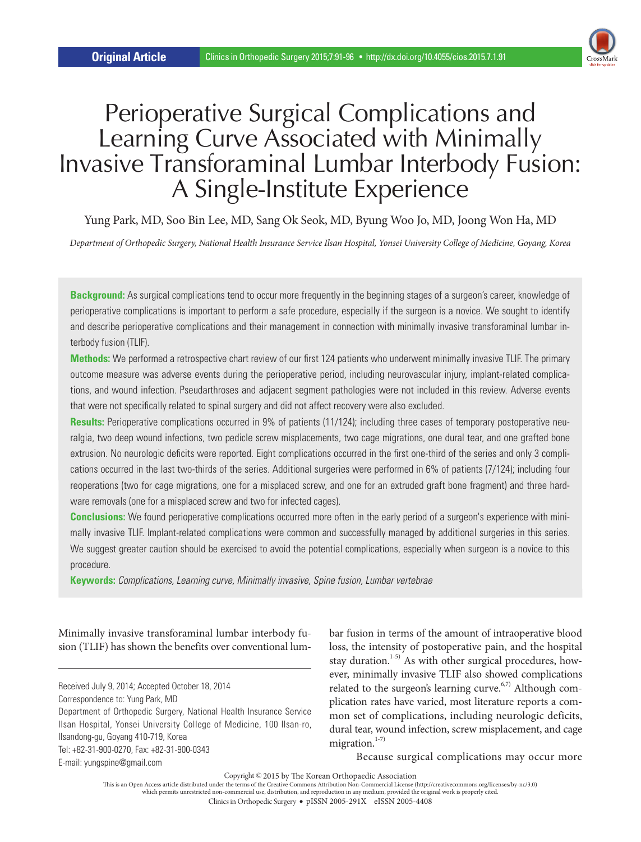

# Perioperative Surgical Complications and Learning Curve Associated with Minimally Invasive Transforaminal Lumbar Interbody Fusion: A Single-Institute Experience

Yung Park, MD, Soo Bin Lee, MD, Sang Ok Seok, MD, Byung Woo Jo, MD, Joong Won Ha, MD

*Department of Orthopedic Surgery, National Health Insurance Service Ilsan Hospital, Yonsei University College of Medicine, Goyang, Korea*

**Background:** As surgical complications tend to occur more frequently in the beginning stages of a surgeon's career, knowledge of perioperative complications is important to perform a safe procedure, especially if the surgeon is a novice. We sought to identify and describe perioperative complications and their management in connection with minimally invasive transforaminal lumbar interbody fusion (TLIF).

**Methods:** We performed a retrospective chart review of our first 124 patients who underwent minimally invasive TLIF. The primary outcome measure was adverse events during the perioperative period, including neurovascular injury, implant-related complications, and wound infection. Pseudarthroses and adjacent segment pathologies were not included in this review. Adverse events that were not specifically related to spinal surgery and did not affect recovery were also excluded.

Results: Perioperative complications occurred in 9% of patients (11/124); including three cases of temporary postoperative neuralgia, two deep wound infections, two pedicle screw misplacements, two cage migrations, one dural tear, and one grafted bone extrusion. No neurologic deficits were reported. Eight complications occurred in the first one-third of the series and only 3 complications occurred in the last two-thirds of the series. Additional surgeries were performed in 6% of patients (7/124); including four reoperations (two for cage migrations, one for a misplaced screw, and one for an extruded graft bone fragment) and three hardware removals (one for a misplaced screw and two for infected cages).

**Conclusions:** We found perioperative complications occurred more often in the early period of a surgeon's experience with minimally invasive TLIF. Implant-related complications were common and successfully managed by additional surgeries in this series. We suggest greater caution should be exercised to avoid the potential complications, especially when surgeon is a novice to this procedure.

**Keywords:** *Complications, Learning curve, Minimally invasive, Spine fusion, Lumbar vertebrae*

Minimally invasive transforaminal lumbar interbody fusion (TLIF) has shown the benefits over conventional lum-

Received July 9, 2014; Accepted October 18, 2014 Correspondence to: Yung Park, MD Department of Orthopedic Surgery, National Health Insurance Service Ilsan Hospital, Yonsei University College of Medicine, 100 Ilsan-ro, Ilsandong-gu, Goyang 410-719, Korea Tel: +82-31-900-0270, Fax: +82-31-900-0343 E-mail: yungspine@gmail.com

bar fusion in terms of the amount of intraoperative blood loss, the intensity of postoperative pain, and the hospital stay duration.<sup>1-5)</sup> As with other surgical procedures, however, minimally invasive TLIF also showed complications related to the surgeon's learning curve. $6,7)$  Although complication rates have varied, most literature reports a common set of complications, including neurologic deficits, dural tear, wound infection, screw misplacement, and cage migration.<sup>1-7)</sup>

Because surgical complications may occur more

Copyright © 2015 by The Korean Orthopaedic Association

This is an Open Access article distributed under the terms of the Creative Commons Attribution Non-Commercial License (http://creativecommons.org/licenses/by-nc/3.0)<br>which permits unrestricted non-commercial use, distribut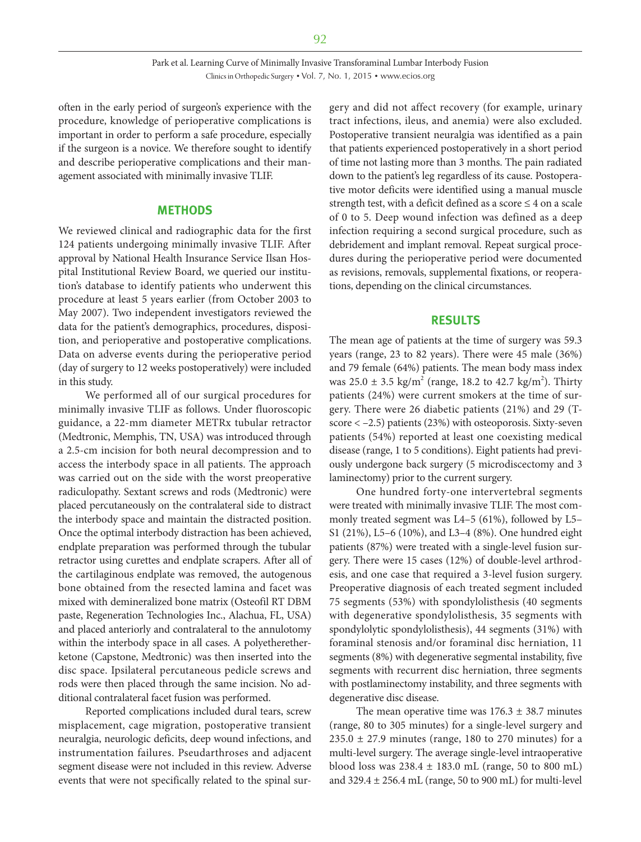often in the early period of surgeon's experience with the procedure, knowledge of perioperative complications is important in order to perform a safe procedure, especially if the surgeon is a novice. We therefore sought to identify and describe perioperative complications and their management associated with minimally invasive TLIF.

#### **METHODS**

We reviewed clinical and radiographic data for the first 124 patients undergoing minimally invasive TLIF. After approval by National Health Insurance Service Ilsan Hospital Institutional Review Board, we queried our institution's database to identify patients who underwent this procedure at least 5 years earlier (from October 2003 to May 2007). Two independent investigators reviewed the data for the patient's demographics, procedures, disposition, and perioperative and postoperative complications. Data on adverse events during the perioperative period (day of surgery to 12 weeks postoperatively) were included in this study.

We performed all of our surgical procedures for minimally invasive TLIF as follows. Under fluoroscopic guidance, a 22-mm diameter METRx tubular retractor (Medtronic, Memphis, TN, USA) was introduced through a 2.5-cm incision for both neural decompression and to access the interbody space in all patients. The approach was carried out on the side with the worst preoperative radiculopathy. Sextant screws and rods (Medtronic) were placed percutaneously on the contralateral side to distract the interbody space and maintain the distracted position. Once the optimal interbody distraction has been achieved, endplate preparation was performed through the tubular retractor using curettes and endplate scrapers. After all of the cartilaginous endplate was removed, the autogenous bone obtained from the resected lamina and facet was mixed with demineralized bone matrix (Osteofil RT DBM paste, Regeneration Technologies Inc., Alachua, FL, USA) and placed anteriorly and contralateral to the annulotomy within the interbody space in all cases. A polyetheretherketone (Capstone, Medtronic) was then inserted into the disc space. Ipsilateral percutaneous pedicle screws and rods were then placed through the same incision. No additional contralateral facet fusion was performed.

Reported complications included dural tears, screw misplacement, cage migration, postoperative transient neuralgia, neurologic deficits, deep wound infections, and instrumentation failures. Pseudarthroses and adjacent segment disease were not included in this review. Adverse events that were not specifically related to the spinal surgery and did not affect recovery (for example, urinary tract infections, ileus, and anemia) were also excluded. Postoperative transient neuralgia was identified as a pain that patients experienced postoperatively in a short period of time not lasting more than 3 months. The pain radiated down to the patient's leg regardless of its cause. Postoperative motor deficits were identified using a manual muscle strength test, with a deficit defined as a score  $\leq 4$  on a scale of 0 to 5. Deep wound infection was defined as a deep infection requiring a second surgical procedure, such as debridement and implant removal. Repeat surgical procedures during the perioperative period were documented as revisions, removals, supplemental fixations, or reoperations, depending on the clinical circumstances.

#### **RESULTS**

The mean age of patients at the time of surgery was 59.3 years (range, 23 to 82 years). There were 45 male (36%) and 79 female (64%) patients. The mean body mass index was  $25.0 \pm 3.5$  kg/m<sup>2</sup> (range, 18.2 to 42.7 kg/m<sup>2</sup>). Thirty patients (24%) were current smokers at the time of surgery. There were 26 diabetic patients (21%) and 29 (Tscore < –2.5) patients (23%) with osteoporosis. Sixty-seven patients (54%) reported at least one coexisting medical disease (range, 1 to 5 conditions). Eight patients had previously undergone back surgery (5 microdiscectomy and 3 laminectomy) prior to the current surgery.

One hundred forty-one intervertebral segments were treated with minimally invasive TLIF. The most commonly treated segment was L4–5 (61%), followed by L5– S1 (21%), L5–6 (10%), and L3–4 (8%). One hundred eight patients (87%) were treated with a single-level fusion surgery. There were 15 cases (12%) of double-level arthrodesis, and one case that required a 3-level fusion surgery. Preoperative diagnosis of each treated segment included 75 segments (53%) with spondylolisthesis (40 segments with degenerative spondylolisthesis, 35 segments with spondylolytic spondylolisthesis), 44 segments (31%) with foraminal stenosis and/or foraminal disc herniation, 11 segments (8%) with degenerative segmental instability, five segments with recurrent disc herniation, three segments with postlaminectomy instability, and three segments with degenerative disc disease.

The mean operative time was  $176.3 \pm 38.7$  minutes (range, 80 to 305 minutes) for a single-level surgery and  $235.0 \pm 27.9$  minutes (range, 180 to 270 minutes) for a multi-level surgery. The average single-level intraoperative blood loss was 238.4 ± 183.0 mL (range, 50 to 800 mL) and 329.4 ± 256.4 mL (range, 50 to 900 mL) for multi-level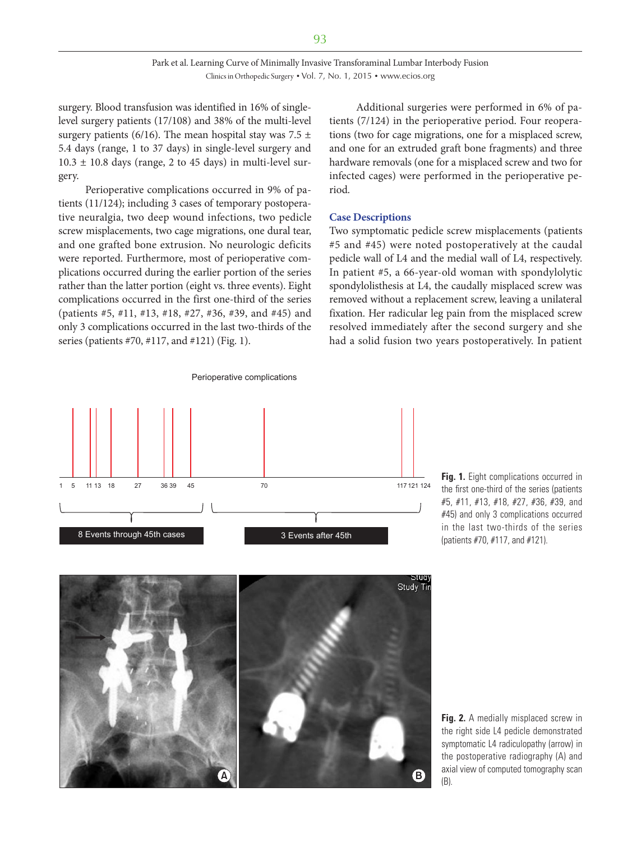surgery. Blood transfusion was identified in 16% of singlelevel surgery patients (17/108) and 38% of the multi-level surgery patients (6/16). The mean hospital stay was 7.5  $\pm$ 5.4 days (range, 1 to 37 days) in single-level surgery and  $10.3 \pm 10.8$  days (range, 2 to 45 days) in multi-level surgery.

Perioperative complications occurred in 9% of patients (11/124); including 3 cases of temporary postoperative neuralgia, two deep wound infections, two pedicle screw misplacements, two cage migrations, one dural tear, and one grafted bone extrusion. No neurologic deficits were reported. Furthermore, most of perioperative complications occurred during the earlier portion of the series rather than the latter portion (eight vs. three events). Eight complications occurred in the first one-third of the series (patients #5, #11, #13, #18, #27, #36, #39, and #45) and only 3 complications occurred in the last two-thirds of the series (patients #70, #117, and #121) (Fig. 1).

Additional surgeries were performed in 6% of patients (7/124) in the perioperative period. Four reoperations (two for cage migrations, one for a misplaced screw, and one for an extruded graft bone fragments) and three hardware removals (one for a misplaced screw and two for infected cages) were performed in the perioperative period.

#### **Case Descriptions**

Two symptomatic pedicle screw misplacements (patients #5 and #45) were noted postoperatively at the caudal pedicle wall of L4 and the medial wall of L4, respectively. In patient #5, a 66-year-old woman with spondylolytic spondylolisthesis at L4, the caudally misplaced screw was removed without a replacement screw, leaving a unilateral fixation. Her radicular leg pain from the misplaced screw resolved immediately after the second surgery and she had a solid fusion two years postoperatively. In patient



Perioperative complications

**Fig. 1.** Eight complications occurred in the first one-third of the series (patients #5, #11, #13, #18, #27, #36, #39, and #45) and only 3 complications occurred in the last two-thirds of the series (patients #70, #117, and #121).



**Fig. 2.** A medially misplaced screw in the right side L4 pedicle demonstrated symptomatic L4 radiculopathy (arrow) in the postoperative radiography (A) and axial view of computed tomography scan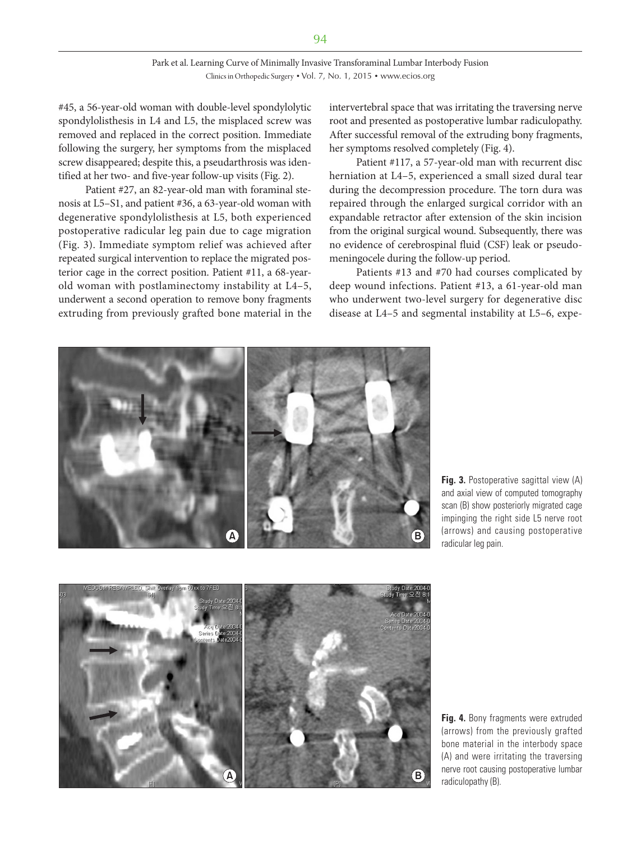#### Park et al. Learning Curve of Minimally Invasive Transforaminal Lumbar Interbody Fusion Clinics in Orthopedic Surgery • Vol. 7, No. 1, 2015 • www.ecios.org

#45, a 56-year-old woman with double-level spondylolytic spondylolisthesis in L4 and L5, the misplaced screw was removed and replaced in the correct position. Immediate following the surgery, her symptoms from the misplaced screw disappeared; despite this, a pseudarthrosis was identified at her two- and five-year follow-up visits (Fig. 2).

Patient #27, an 82-year-old man with foraminal stenosis at L5–S1, and patient #36, a 63-year-old woman with degenerative spondylolisthesis at L5, both experienced postoperative radicular leg pain due to cage migration (Fig. 3). Immediate symptom relief was achieved after repeated surgical intervention to replace the migrated posterior cage in the correct position. Patient #11, a 68-yearold woman with postlaminectomy instability at L4–5, underwent a second operation to remove bony fragments extruding from previously grafted bone material in the intervertebral space that was irritating the traversing nerve root and presented as postoperative lumbar radiculopathy. After successful removal of the extruding bony fragments, her symptoms resolved completely (Fig. 4).

Patient #117, a 57-year-old man with recurrent disc herniation at L4–5, experienced a small sized dural tear during the decompression procedure. The torn dura was repaired through the enlarged surgical corridor with an expandable retractor after extension of the skin incision from the original surgical wound. Subsequently, there was no evidence of cerebrospinal fluid (CSF) leak or pseudomeningocele during the follow-up period.

Patients #13 and #70 had courses complicated by deep wound infections. Patient #13, a 61-year-old man who underwent two-level surgery for degenerative disc disease at L4–5 and segmental instability at L5–6, expe-



**Fig. 3.** Postoperative sagittal view (A) and axial view of computed tomography scan (B) show posteriorly migrated cage impinging the right side L5 nerve root (arrows) and causing postoperative radicular leg pain.



**Fig. 4.** Bony fragments were extruded (arrows) from the previously grafted bone material in the interbody space (A) and were irritating the traversing nerve root causing postoperative lumbar radiculopathy (B). **<sup>A</sup> <sup>B</sup>**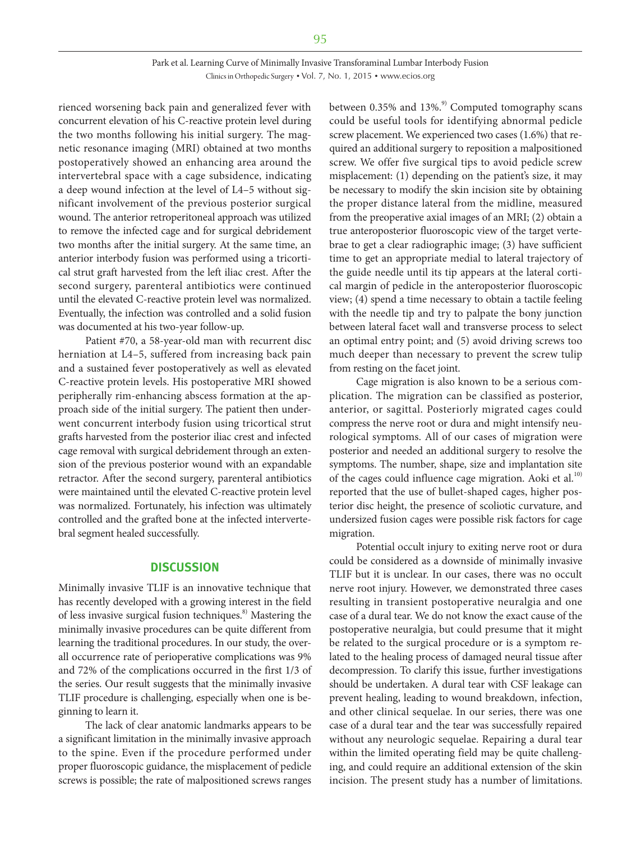rienced worsening back pain and generalized fever with concurrent elevation of his C-reactive protein level during the two months following his initial surgery. The magnetic resonance imaging (MRI) obtained at two months postoperatively showed an enhancing area around the intervertebral space with a cage subsidence, indicating a deep wound infection at the level of L4–5 without significant involvement of the previous posterior surgical wound. The anterior retroperitoneal approach was utilized to remove the infected cage and for surgical debridement two months after the initial surgery. At the same time, an anterior interbody fusion was performed using a tricortical strut graft harvested from the left iliac crest. After the second surgery, parenteral antibiotics were continued until the elevated C-reactive protein level was normalized. Eventually, the infection was controlled and a solid fusion was documented at his two-year follow-up.

Patient #70, a 58-year-old man with recurrent disc herniation at L4–5, suffered from increasing back pain and a sustained fever postoperatively as well as elevated C-reactive protein levels. His postoperative MRI showed peripherally rim-enhancing abscess formation at the approach side of the initial surgery. The patient then underwent concurrent interbody fusion using tricortical strut grafts harvested from the posterior iliac crest and infected cage removal with surgical debridement through an extension of the previous posterior wound with an expandable retractor. After the second surgery, parenteral antibiotics were maintained until the elevated C-reactive protein level was normalized. Fortunately, his infection was ultimately controlled and the grafted bone at the infected intervertebral segment healed successfully.

#### **DISCUSSION**

Minimally invasive TLIF is an innovative technique that has recently developed with a growing interest in the field of less invasive surgical fusion techniques. $\delta$ <sup>8</sup> Mastering the minimally invasive procedures can be quite different from learning the traditional procedures. In our study, the overall occurrence rate of perioperative complications was 9% and 72% of the complications occurred in the first 1/3 of the series. Our result suggests that the minimally invasive TLIF procedure is challenging, especially when one is beginning to learn it.

The lack of clear anatomic landmarks appears to be a significant limitation in the minimally invasive approach to the spine. Even if the procedure performed under proper fluoroscopic guidance, the misplacement of pedicle screws is possible; the rate of malpositioned screws ranges between  $0.35\%$  and  $13\%$ .<sup>9)</sup> Computed tomography scans could be useful tools for identifying abnormal pedicle screw placement. We experienced two cases (1.6%) that required an additional surgery to reposition a malpositioned screw. We offer five surgical tips to avoid pedicle screw misplacement: (1) depending on the patient's size, it may be necessary to modify the skin incision site by obtaining the proper distance lateral from the midline, measured from the preoperative axial images of an MRI; (2) obtain a true anteroposterior fluoroscopic view of the target vertebrae to get a clear radiographic image; (3) have sufficient time to get an appropriate medial to lateral trajectory of the guide needle until its tip appears at the lateral cortical margin of pedicle in the anteroposterior fluoroscopic view; (4) spend a time necessary to obtain a tactile feeling with the needle tip and try to palpate the bony junction between lateral facet wall and transverse process to select an optimal entry point; and (5) avoid driving screws too much deeper than necessary to prevent the screw tulip from resting on the facet joint.

Cage migration is also known to be a serious complication. The migration can be classified as posterior, anterior, or sagittal. Posteriorly migrated cages could compress the nerve root or dura and might intensify neurological symptoms. All of our cases of migration were posterior and needed an additional surgery to resolve the symptoms. The number, shape, size and implantation site of the cages could influence cage migration. Aoki et al.<sup>10)</sup> reported that the use of bullet-shaped cages, higher posterior disc height, the presence of scoliotic curvature, and undersized fusion cages were possible risk factors for cage migration.

Potential occult injury to exiting nerve root or dura could be considered as a downside of minimally invasive TLIF but it is unclear. In our cases, there was no occult nerve root injury. However, we demonstrated three cases resulting in transient postoperative neuralgia and one case of a dural tear. We do not know the exact cause of the postoperative neuralgia, but could presume that it might be related to the surgical procedure or is a symptom related to the healing process of damaged neural tissue after decompression. To clarify this issue, further investigations should be undertaken. A dural tear with CSF leakage can prevent healing, leading to wound breakdown, infection, and other clinical sequelae. In our series, there was one case of a dural tear and the tear was successfully repaired without any neurologic sequelae. Repairing a dural tear within the limited operating field may be quite challenging, and could require an additional extension of the skin incision. The present study has a number of limitations.